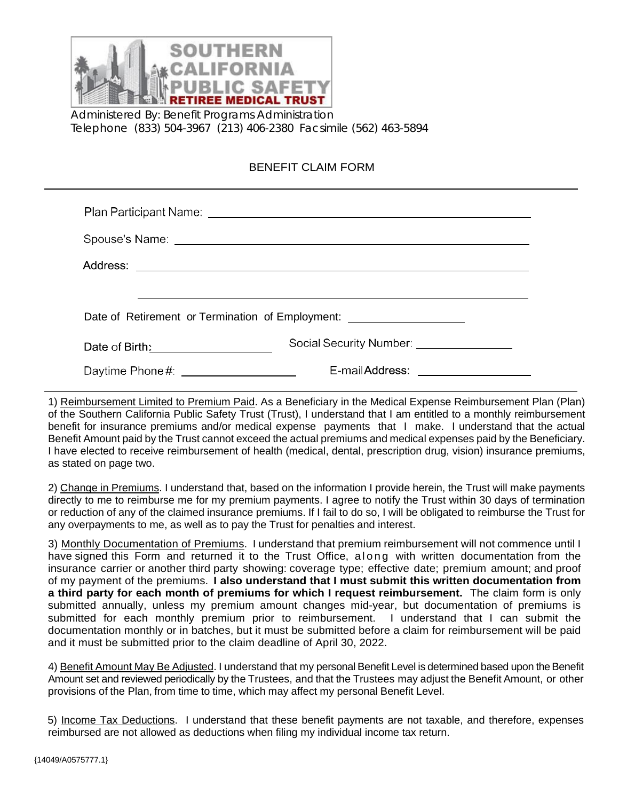

Administered By: Benefit Programs Administration Telephone (833) 504-3967 (213) 406-2380 Facsimile (562) 463-5894

## BENEFIT CLAIM FORM

| Plan Participant Name: <u>Name: Name School School School School School School School School School School School School School School School School School School School School School School School School School School Schoo</u> |                                    |  |  |  |
|--------------------------------------------------------------------------------------------------------------------------------------------------------------------------------------------------------------------------------------|------------------------------------|--|--|--|
|                                                                                                                                                                                                                                      |                                    |  |  |  |
|                                                                                                                                                                                                                                      |                                    |  |  |  |
|                                                                                                                                                                                                                                      |                                    |  |  |  |
| Date of Retirement or Termination of Employment: _________________________                                                                                                                                                           |                                    |  |  |  |
| Date of Birth: <u>_______________________</u>                                                                                                                                                                                        | Social Security Number: 2000 2001  |  |  |  |
| Daytime Phone#: _____________________                                                                                                                                                                                                | E-mailAddress: ___________________ |  |  |  |

1) Reimbursement Limited to Premium Paid. As a Beneficiary in the Medical Expense Reimbursement Plan (Plan) of the Southern California Public Safety Trust (Trust), I understand that I am entitled to a monthly reimbursement benefit for insurance premiums and/or medical expense payments that I make. I understand that the actual Benefit Amount paid by the Trust cannot exceed the actual premiums and medical expenses paid by the Beneficiary. I have elected to receive reimbursement of health (medical, dental, prescription drug, vision) insurance premiums, as stated on page two.

2) Change in Premiums. I understand that, based on the information I provide herein, the Trust will make payments directly to me to reimburse me for my premium payments. I agree to notify the Trust within 30 days of termination or reduction of any of the claimed insurance premiums. If I fail to do so, I will be obligated to reimburse the Trust for any overpayments to me, as well as to pay the Trust for penalties and interest.

3) Monthly Documentation of Premiums. I understand that premium reimbursement will not commence until I have signed this Form and returned it to the Trust Office, along with written documentation from the insurance carrier or another third party showing: coverage type; effective date; premium amount; and proof of my payment of the premiums. **I also understand that I must submit this written documentation from a third party for each month of premiums for which I request reimbursement.** The claim form is only submitted annually, unless my premium amount changes mid-year, but documentation of premiums is submitted for each monthly premium prior to reimbursement. I understand that I can submit the documentation monthly or in batches, but it must be submitted before a claim for reimbursement will be paid and it must be submitted prior to the claim deadline of April 30, 2022.

4) Benefit Amount May Be Adjusted. I understand that my personal Benefit Level is determined based upon the Benefit Amount set and reviewed periodically by the Trustees, and that the Trustees may adjust the Benefit Amount, or other provisions of the Plan, from time to time, which may affect my personal Benefit Level.

5) Income Tax Deductions. I understand that these benefit payments are not taxable, and therefore, expenses reimbursed are not allowed as deductions when filing my individual income tax return.